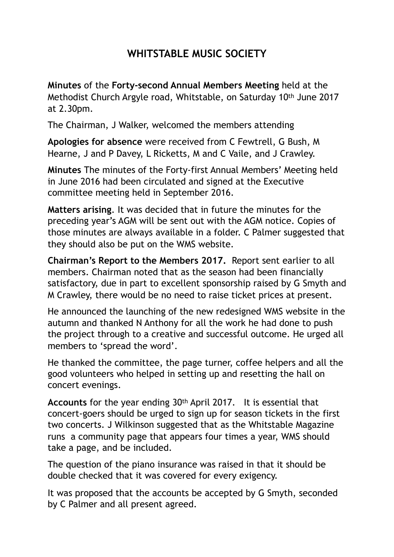## **WHITSTABLE MUSIC SOCIETY**

**Minutes** of the **Forty-second Annual Members Meeting** held at the Methodist Church Argyle road, Whitstable, on Saturday 10th June 2017 at 2.30pm.

The Chairman, J Walker, welcomed the members attending

**Apologies for absence** were received from C Fewtrell, G Bush, M Hearne, J and P Davey, L Ricketts, M and C Vaile, and J Crawley.

**Minutes** The minutes of the Forty-first Annual Members' Meeting held in June 2016 had been circulated and signed at the Executive committee meeting held in September 2016.

**Matters arising**. It was decided that in future the minutes for the preceding year's AGM will be sent out with the AGM notice. Copies of those minutes are always available in a folder. C Palmer suggested that they should also be put on the WMS website.

**Chairman's Report to the Members 2017.** Report sent earlier to all members. Chairman noted that as the season had been financially satisfactory, due in part to excellent sponsorship raised by G Smyth and M Crawley, there would be no need to raise ticket prices at present.

He announced the launching of the new redesigned WMS website in the autumn and thanked N Anthony for all the work he had done to push the project through to a creative and successful outcome. He urged all members to 'spread the word'.

He thanked the committee, the page turner, coffee helpers and all the good volunteers who helped in setting up and resetting the hall on concert evenings.

**Accounts** for the year ending 30th April 2017. It is essential that concert-goers should be urged to sign up for season tickets in the first two concerts. J Wilkinson suggested that as the Whitstable Magazine runs a community page that appears four times a year, WMS should take a page, and be included.

The question of the piano insurance was raised in that it should be double checked that it was covered for every exigency.

It was proposed that the accounts be accepted by G Smyth, seconded by C Palmer and all present agreed.